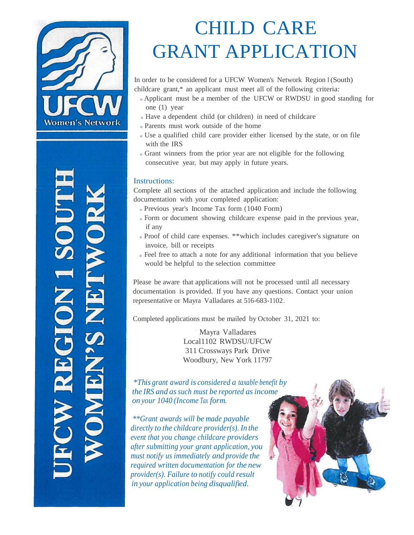

## CHILD CARE GRANT APPLICATION

In order to be considered for a UFCW Women's Network Region I (South) childcare grant,\* an applicant must meet all of the following criteria:

- <sup>o</sup> Applicant must be a member of the UFCW or RWDSU in good standing for one (1) year
- <sup>o</sup>Have a dependent child (or children) in need of childcare
- <sup>o</sup>Parents must work outside of the home
- <sup>o</sup>Use a qualified child care provider either licensed by the state, or on file with the IRS
- <sup>o</sup>Grant winners from the prior year are not eligible for the following consecutive year, but may apply in future years.

## Instructions:

Complete all sections of the attached application and include the following documentation with your completed application:

- <sup>o</sup>Previous year's Income Tax form (1040 Form)
- $\circ$  Form or document showing childcare expense paid in the previous year, if any
- <sup>o</sup>Proof of child care expenses. \*\*which includes caregiver's signature on invoice, bill or receipts
- <sup>o</sup>Feel free to attach a note for any additional information that you believe would be helpful to the selection committee

Please be aware that applications will not be processed until all necessary documentation is provided. If you have any questions. Contact your union representative or Mayra Valladares at 516-683-1102.

Completed applications must be mailed by October 31, 2021 to:

Mayra Valladares Local1102 RWDSU/UFCW 311 Crossways Park Drive Woodbury, New York 11797

*\*This grant award is considered a taxable benefit by the IRS and assuch must be reported asincome on your 1040 (Income Tax form.*

*\*\*Grant awards will be made payable directly to the childcare provider(s). In the event that you change childcare providers after submitting your grant application, you must notify us immediately and provide the required written documentation for the new provider(s). Failure to notify could result in your application being disqualified.*